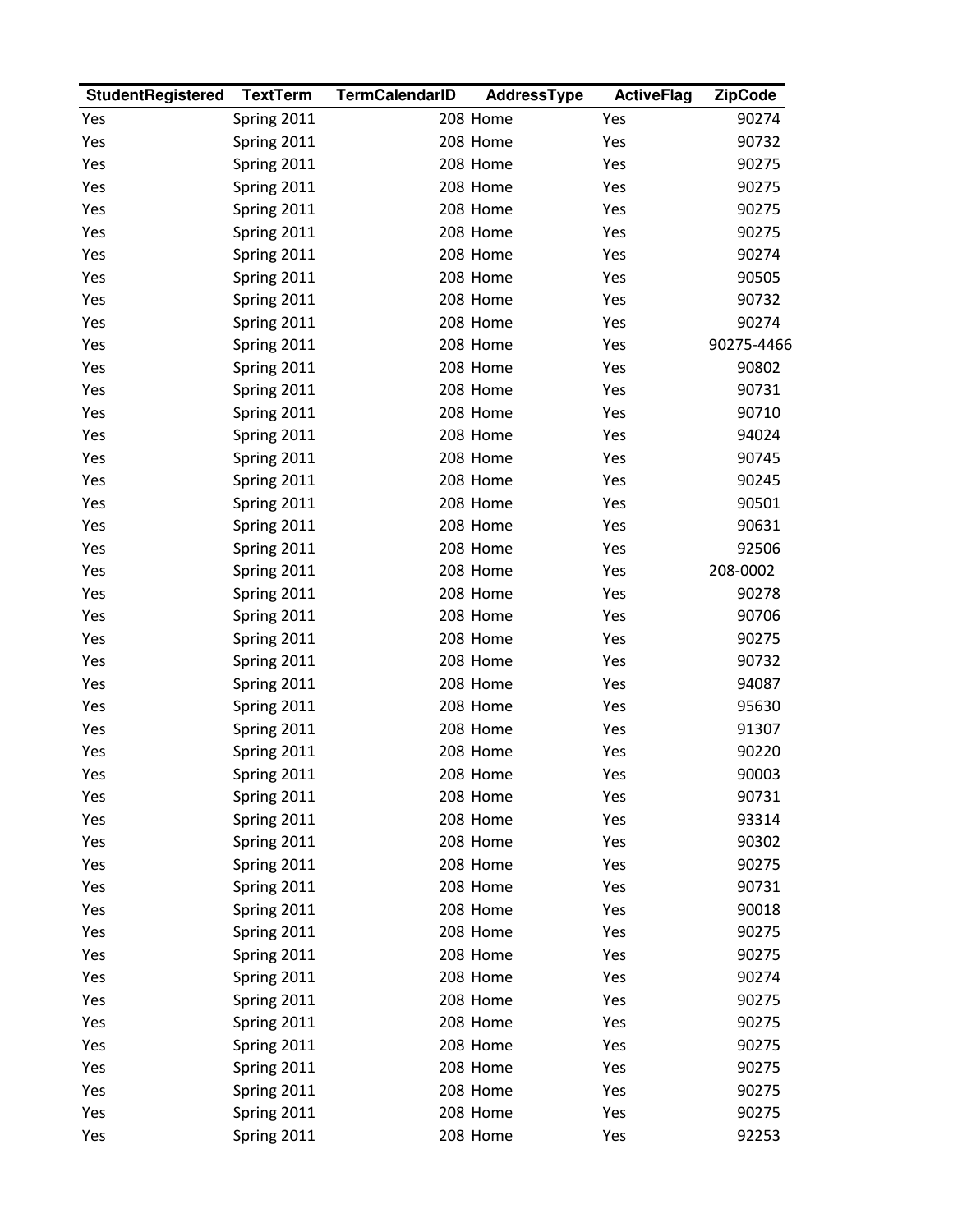| <b>StudentRegistered</b> | <b>TextTerm</b> | <b>TermCalendarID</b> | AddressType | <b>ActiveFlag</b> | <b>ZipCode</b> |
|--------------------------|-----------------|-----------------------|-------------|-------------------|----------------|
| Yes                      | Spring 2011     |                       | 208 Home    | Yes               | 90274          |
| Yes                      | Spring 2011     |                       | 208 Home    | Yes               | 90732          |
| Yes                      | Spring 2011     |                       | 208 Home    | Yes               | 90275          |
| Yes                      | Spring 2011     |                       | 208 Home    | Yes               | 90275          |
| Yes                      | Spring 2011     |                       | 208 Home    | Yes               | 90275          |
| Yes                      | Spring 2011     |                       | 208 Home    | Yes               | 90275          |
| Yes                      | Spring 2011     |                       | 208 Home    | Yes               | 90274          |
| Yes                      | Spring 2011     |                       | 208 Home    | Yes               | 90505          |
| Yes                      | Spring 2011     |                       | 208 Home    | Yes               | 90732          |
| Yes                      | Spring 2011     |                       | 208 Home    | Yes               | 90274          |
| Yes                      | Spring 2011     |                       | 208 Home    | Yes               | 90275-4466     |
| Yes                      | Spring 2011     |                       | 208 Home    | Yes               | 90802          |
| Yes                      | Spring 2011     |                       | 208 Home    | Yes               | 90731          |
| Yes                      | Spring 2011     |                       | 208 Home    | Yes               | 90710          |
| Yes                      | Spring 2011     |                       | 208 Home    | Yes               | 94024          |
| Yes                      | Spring 2011     |                       | 208 Home    | Yes               | 90745          |
| Yes                      | Spring 2011     |                       | 208 Home    | Yes               | 90245          |
| Yes                      | Spring 2011     |                       | 208 Home    | Yes               | 90501          |
| Yes                      | Spring 2011     |                       | 208 Home    | Yes               | 90631          |
| Yes                      | Spring 2011     |                       | 208 Home    | Yes               | 92506          |
| Yes                      | Spring 2011     |                       | 208 Home    | Yes               | 208-0002       |
| Yes                      | Spring 2011     |                       | 208 Home    | Yes               | 90278          |
| Yes                      | Spring 2011     |                       | 208 Home    | Yes               | 90706          |
| Yes                      | Spring 2011     |                       | 208 Home    | Yes               | 90275          |
| Yes                      | Spring 2011     |                       | 208 Home    | Yes               | 90732          |
| Yes                      | Spring 2011     |                       | 208 Home    | Yes               | 94087          |
| Yes                      | Spring 2011     |                       | 208 Home    | Yes               | 95630          |
| Yes                      | Spring 2011     |                       | 208 Home    | Yes               | 91307          |
| Yes                      | Spring 2011     |                       | 208 Home    | Yes               | 90220          |
| Yes                      | Spring 2011     |                       | 208 Home    | Yes               | 90003          |
| Yes                      | Spring 2011     |                       | 208 Home    | Yes               | 90731          |
| Yes                      | Spring 2011     |                       | 208 Home    | Yes               | 93314          |
| Yes                      | Spring 2011     |                       | 208 Home    | Yes               | 90302          |
| Yes                      | Spring 2011     |                       | 208 Home    | Yes               | 90275          |
| Yes                      | Spring 2011     |                       | 208 Home    | Yes               | 90731          |
| Yes                      | Spring 2011     |                       | 208 Home    | Yes               | 90018          |
| Yes                      | Spring 2011     |                       | 208 Home    | Yes               | 90275          |
| Yes                      | Spring 2011     |                       | 208 Home    | Yes               | 90275          |
| Yes                      | Spring 2011     |                       | 208 Home    | Yes               | 90274          |
| Yes                      | Spring 2011     |                       | 208 Home    | Yes               | 90275          |
| Yes                      | Spring 2011     |                       | 208 Home    | Yes               | 90275          |
| Yes                      | Spring 2011     |                       | 208 Home    | Yes               | 90275          |
| Yes                      | Spring 2011     |                       | 208 Home    | Yes               | 90275          |
| Yes                      | Spring 2011     |                       | 208 Home    | Yes               | 90275          |
| Yes                      | Spring 2011     |                       | 208 Home    | Yes               | 90275          |
| Yes                      | Spring 2011     |                       | 208 Home    | Yes               | 92253          |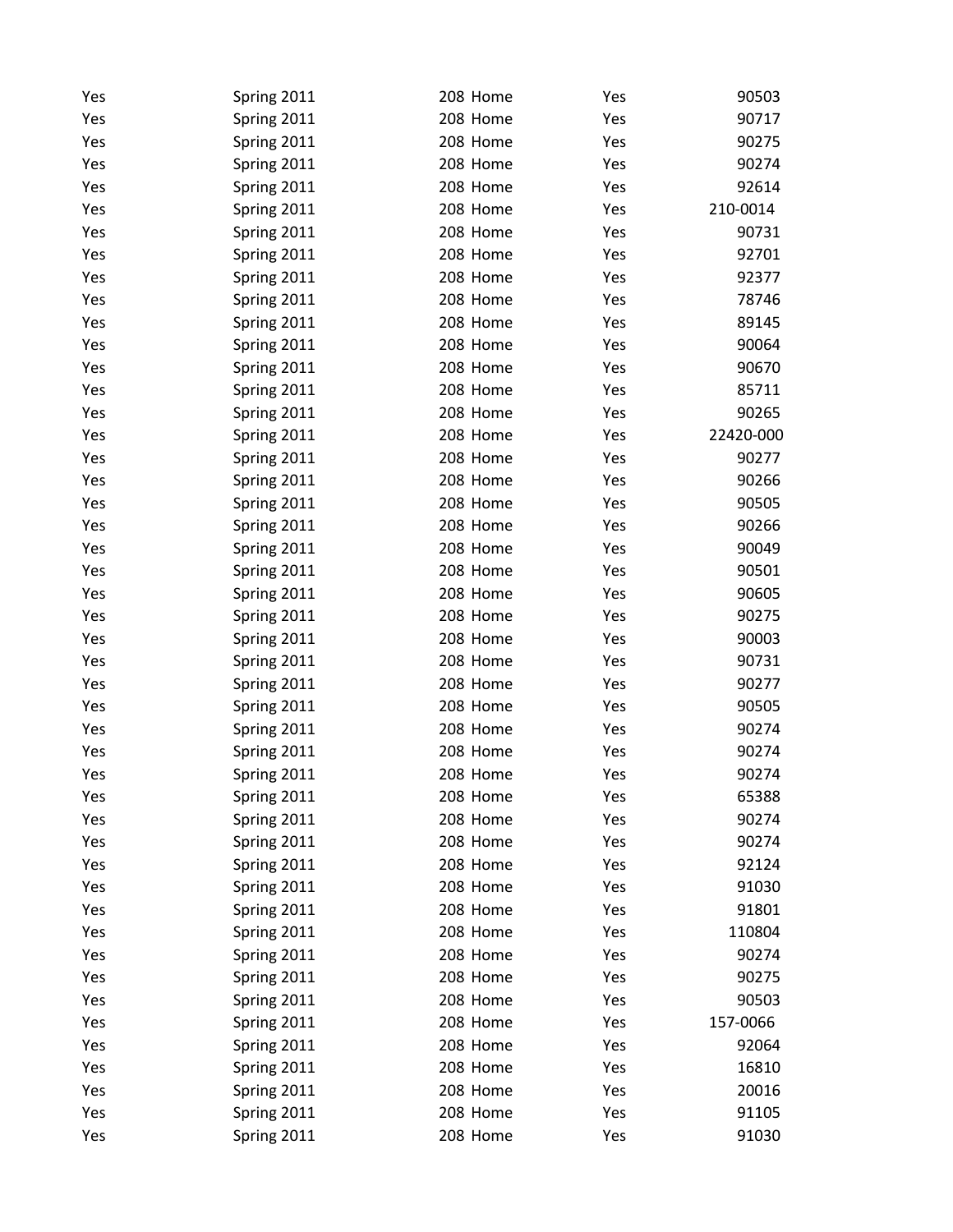| Yes | Spring 2011 | 208 Home | Yes | 90503     |
|-----|-------------|----------|-----|-----------|
| Yes | Spring 2011 | 208 Home | Yes | 90717     |
| Yes | Spring 2011 | 208 Home | Yes | 90275     |
| Yes | Spring 2011 | 208 Home | Yes | 90274     |
| Yes | Spring 2011 | 208 Home | Yes | 92614     |
| Yes | Spring 2011 | 208 Home | Yes | 210-0014  |
| Yes | Spring 2011 | 208 Home | Yes | 90731     |
| Yes | Spring 2011 | 208 Home | Yes | 92701     |
| Yes | Spring 2011 | 208 Home | Yes | 92377     |
| Yes | Spring 2011 | 208 Home | Yes | 78746     |
| Yes | Spring 2011 | 208 Home | Yes | 89145     |
| Yes | Spring 2011 | 208 Home | Yes | 90064     |
| Yes | Spring 2011 | 208 Home | Yes | 90670     |
| Yes | Spring 2011 | 208 Home | Yes | 85711     |
| Yes | Spring 2011 | 208 Home | Yes | 90265     |
| Yes | Spring 2011 | 208 Home | Yes | 22420-000 |
| Yes | Spring 2011 | 208 Home | Yes | 90277     |
| Yes | Spring 2011 | 208 Home | Yes | 90266     |
| Yes | Spring 2011 | 208 Home | Yes | 90505     |
| Yes | Spring 2011 | 208 Home | Yes | 90266     |
| Yes | Spring 2011 | 208 Home | Yes | 90049     |
| Yes | Spring 2011 | 208 Home | Yes | 90501     |
| Yes | Spring 2011 | 208 Home | Yes | 90605     |
| Yes | Spring 2011 | 208 Home | Yes | 90275     |
| Yes | Spring 2011 | 208 Home | Yes | 90003     |
| Yes | Spring 2011 | 208 Home | Yes | 90731     |
| Yes | Spring 2011 | 208 Home | Yes | 90277     |
| Yes | Spring 2011 | 208 Home | Yes | 90505     |
| Yes | Spring 2011 | 208 Home | Yes | 90274     |
| Yes | Spring 2011 | 208 Home | Yes | 90274     |
| Yes | Spring 2011 | 208 Home | Yes | 90274     |
| Yes | Spring 2011 | 208 Home | Yes | 65388     |
| Yes | Spring 2011 | 208 Home | Yes | 90274     |
| Yes | Spring 2011 | 208 Home | Yes | 90274     |
| Yes | Spring 2011 | 208 Home | Yes | 92124     |
| Yes | Spring 2011 | 208 Home | Yes | 91030     |
| Yes | Spring 2011 | 208 Home | Yes | 91801     |
| Yes | Spring 2011 | 208 Home | Yes | 110804    |
| Yes | Spring 2011 | 208 Home | Yes | 90274     |
| Yes | Spring 2011 | 208 Home | Yes | 90275     |
| Yes | Spring 2011 | 208 Home | Yes | 90503     |
| Yes | Spring 2011 | 208 Home | Yes | 157-0066  |
| Yes | Spring 2011 | 208 Home | Yes | 92064     |
| Yes | Spring 2011 | 208 Home | Yes | 16810     |
| Yes | Spring 2011 | 208 Home | Yes | 20016     |
| Yes | Spring 2011 | 208 Home | Yes | 91105     |
| Yes | Spring 2011 | 208 Home | Yes | 91030     |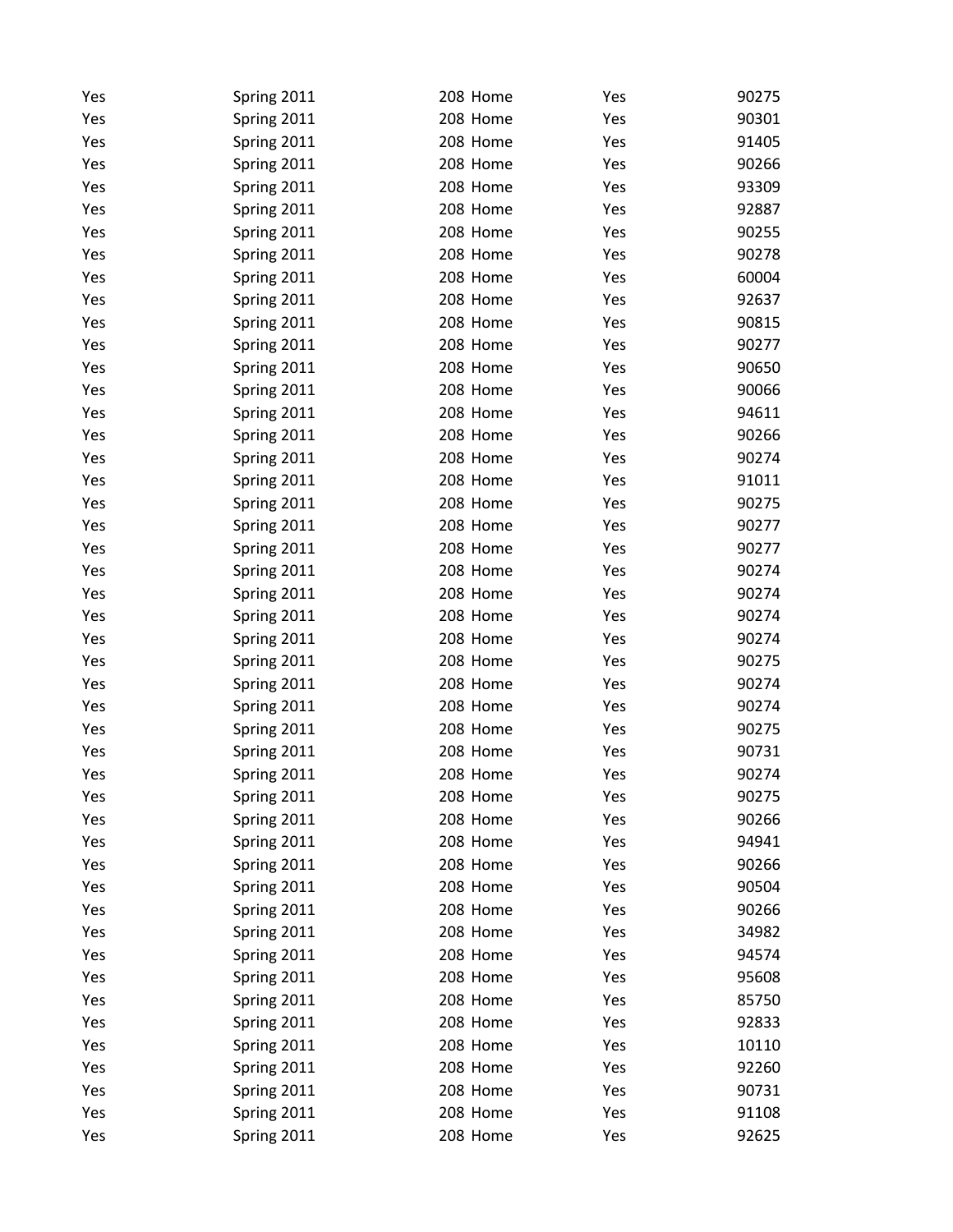| Yes | Spring 2011 | 208 Home | Yes | 90275 |
|-----|-------------|----------|-----|-------|
| Yes | Spring 2011 | 208 Home | Yes | 90301 |
| Yes | Spring 2011 | 208 Home | Yes | 91405 |
| Yes | Spring 2011 | 208 Home | Yes | 90266 |
| Yes | Spring 2011 | 208 Home | Yes | 93309 |
| Yes | Spring 2011 | 208 Home | Yes | 92887 |
| Yes | Spring 2011 | 208 Home | Yes | 90255 |
| Yes | Spring 2011 | 208 Home | Yes | 90278 |
| Yes | Spring 2011 | 208 Home | Yes | 60004 |
| Yes | Spring 2011 | 208 Home | Yes | 92637 |
| Yes | Spring 2011 | 208 Home | Yes | 90815 |
| Yes | Spring 2011 | 208 Home | Yes | 90277 |
| Yes | Spring 2011 | 208 Home | Yes | 90650 |
| Yes | Spring 2011 | 208 Home | Yes | 90066 |
| Yes | Spring 2011 | 208 Home | Yes | 94611 |
| Yes | Spring 2011 | 208 Home | Yes | 90266 |
| Yes | Spring 2011 | 208 Home | Yes | 90274 |
| Yes | Spring 2011 | 208 Home | Yes | 91011 |
| Yes | Spring 2011 | 208 Home | Yes | 90275 |
| Yes | Spring 2011 | 208 Home | Yes | 90277 |
| Yes | Spring 2011 | 208 Home | Yes | 90277 |
| Yes | Spring 2011 | 208 Home | Yes | 90274 |
| Yes | Spring 2011 | 208 Home | Yes | 90274 |
| Yes | Spring 2011 | 208 Home | Yes | 90274 |
| Yes | Spring 2011 | 208 Home | Yes | 90274 |
| Yes | Spring 2011 | 208 Home | Yes | 90275 |
| Yes | Spring 2011 | 208 Home | Yes | 90274 |
| Yes | Spring 2011 | 208 Home | Yes | 90274 |
| Yes | Spring 2011 | 208 Home | Yes | 90275 |
| Yes | Spring 2011 | 208 Home | Yes | 90731 |
| Yes | Spring 2011 | 208 Home | Yes | 90274 |
| Yes | Spring 2011 | 208 Home | Yes | 90275 |
| Yes | Spring 2011 | 208 Home | Yes | 90266 |
| Yes | Spring 2011 | 208 Home | Yes | 94941 |
| Yes | Spring 2011 | 208 Home | Yes | 90266 |
| Yes | Spring 2011 | 208 Home | Yes | 90504 |
| Yes | Spring 2011 | 208 Home | Yes | 90266 |
| Yes | Spring 2011 | 208 Home | Yes | 34982 |
| Yes | Spring 2011 | 208 Home | Yes | 94574 |
| Yes | Spring 2011 | 208 Home | Yes | 95608 |
| Yes | Spring 2011 | 208 Home | Yes | 85750 |
| Yes | Spring 2011 | 208 Home | Yes | 92833 |
| Yes | Spring 2011 | 208 Home | Yes | 10110 |
| Yes | Spring 2011 | 208 Home | Yes | 92260 |
| Yes | Spring 2011 | 208 Home | Yes | 90731 |
| Yes | Spring 2011 | 208 Home | Yes | 91108 |
| Yes | Spring 2011 | 208 Home | Yes | 92625 |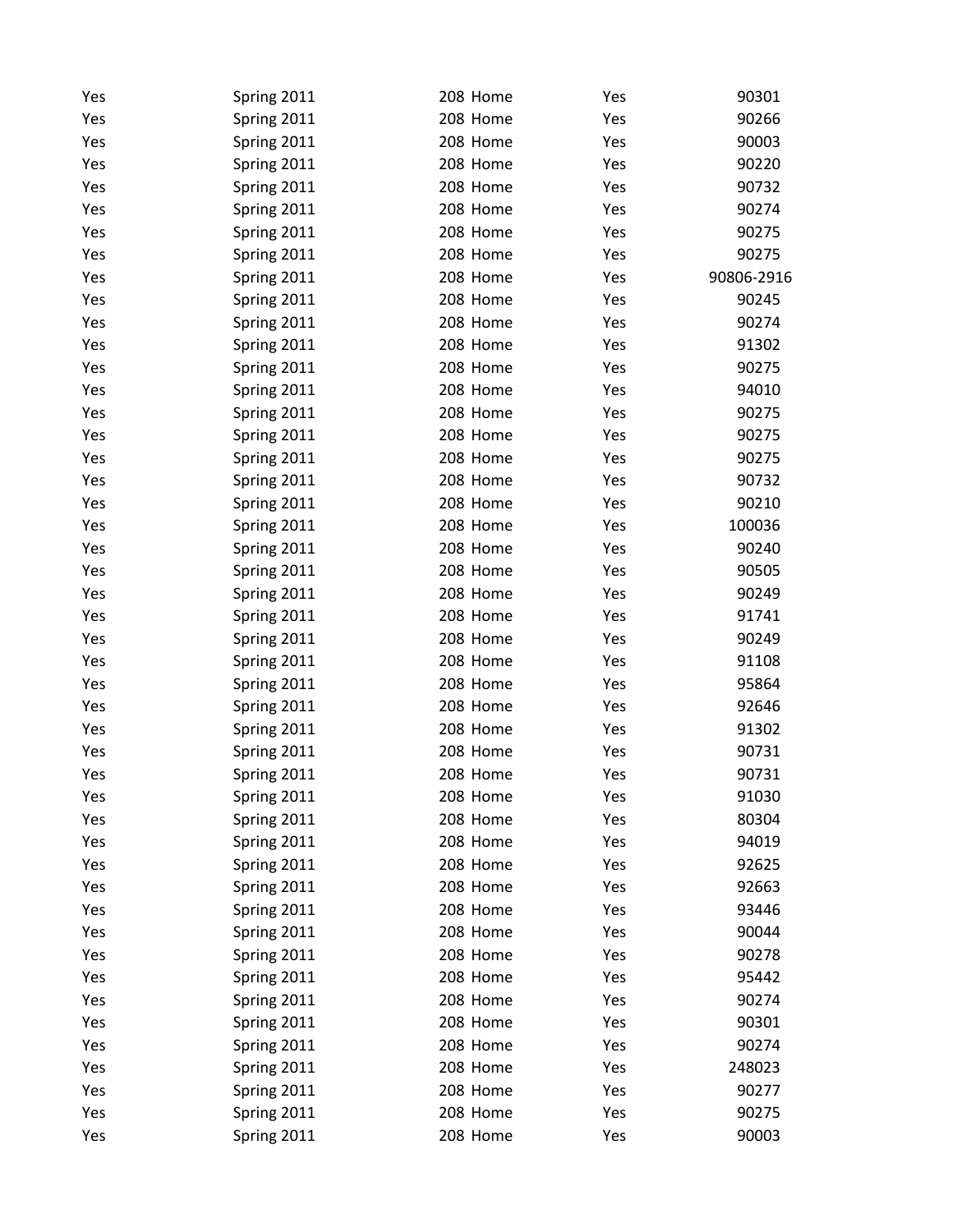| Yes | Spring 2011 | 208 Home | Yes | 90301      |
|-----|-------------|----------|-----|------------|
| Yes | Spring 2011 | 208 Home | Yes | 90266      |
| Yes | Spring 2011 | 208 Home | Yes | 90003      |
| Yes | Spring 2011 | 208 Home | Yes | 90220      |
| Yes | Spring 2011 | 208 Home | Yes | 90732      |
| Yes | Spring 2011 | 208 Home | Yes | 90274      |
| Yes | Spring 2011 | 208 Home | Yes | 90275      |
| Yes | Spring 2011 | 208 Home | Yes | 90275      |
| Yes | Spring 2011 | 208 Home | Yes | 90806-2916 |
| Yes | Spring 2011 | 208 Home | Yes | 90245      |
| Yes | Spring 2011 | 208 Home | Yes | 90274      |
| Yes | Spring 2011 | 208 Home | Yes | 91302      |
| Yes | Spring 2011 | 208 Home | Yes | 90275      |
| Yes | Spring 2011 | 208 Home | Yes | 94010      |
| Yes | Spring 2011 | 208 Home | Yes | 90275      |
| Yes | Spring 2011 | 208 Home | Yes | 90275      |
| Yes | Spring 2011 | 208 Home | Yes | 90275      |
| Yes | Spring 2011 | 208 Home | Yes | 90732      |
| Yes | Spring 2011 | 208 Home | Yes | 90210      |
| Yes | Spring 2011 | 208 Home | Yes | 100036     |
| Yes | Spring 2011 | 208 Home | Yes | 90240      |
| Yes | Spring 2011 | 208 Home | Yes | 90505      |
| Yes | Spring 2011 | 208 Home | Yes | 90249      |
| Yes | Spring 2011 | 208 Home | Yes | 91741      |
| Yes | Spring 2011 | 208 Home | Yes | 90249      |
| Yes | Spring 2011 | 208 Home | Yes | 91108      |
| Yes | Spring 2011 | 208 Home | Yes | 95864      |
| Yes | Spring 2011 | 208 Home | Yes | 92646      |
| Yes | Spring 2011 | 208 Home | Yes | 91302      |
| Yes | Spring 2011 | 208 Home | Yes | 90731      |
| Yes | Spring 2011 | 208 Home | Yes | 90731      |
| Yes | Spring 2011 | 208 Home | Yes | 91030      |
| Yes | Spring 2011 | 208 Home | Yes | 80304      |
| Yes | Spring 2011 | 208 Home | Yes | 94019      |
| Yes | Spring 2011 | 208 Home | Yes | 92625      |
| Yes | Spring 2011 | 208 Home | Yes | 92663      |
| Yes | Spring 2011 | 208 Home | Yes | 93446      |
| Yes | Spring 2011 | 208 Home | Yes | 90044      |
| Yes | Spring 2011 | 208 Home | Yes | 90278      |
| Yes | Spring 2011 | 208 Home | Yes | 95442      |
| Yes | Spring 2011 | 208 Home | Yes | 90274      |
| Yes | Spring 2011 | 208 Home | Yes | 90301      |
| Yes | Spring 2011 | 208 Home | Yes | 90274      |
| Yes | Spring 2011 | 208 Home | Yes | 248023     |
| Yes | Spring 2011 | 208 Home | Yes | 90277      |
| Yes | Spring 2011 | 208 Home | Yes | 90275      |
| Yes | Spring 2011 | 208 Home | Yes | 90003      |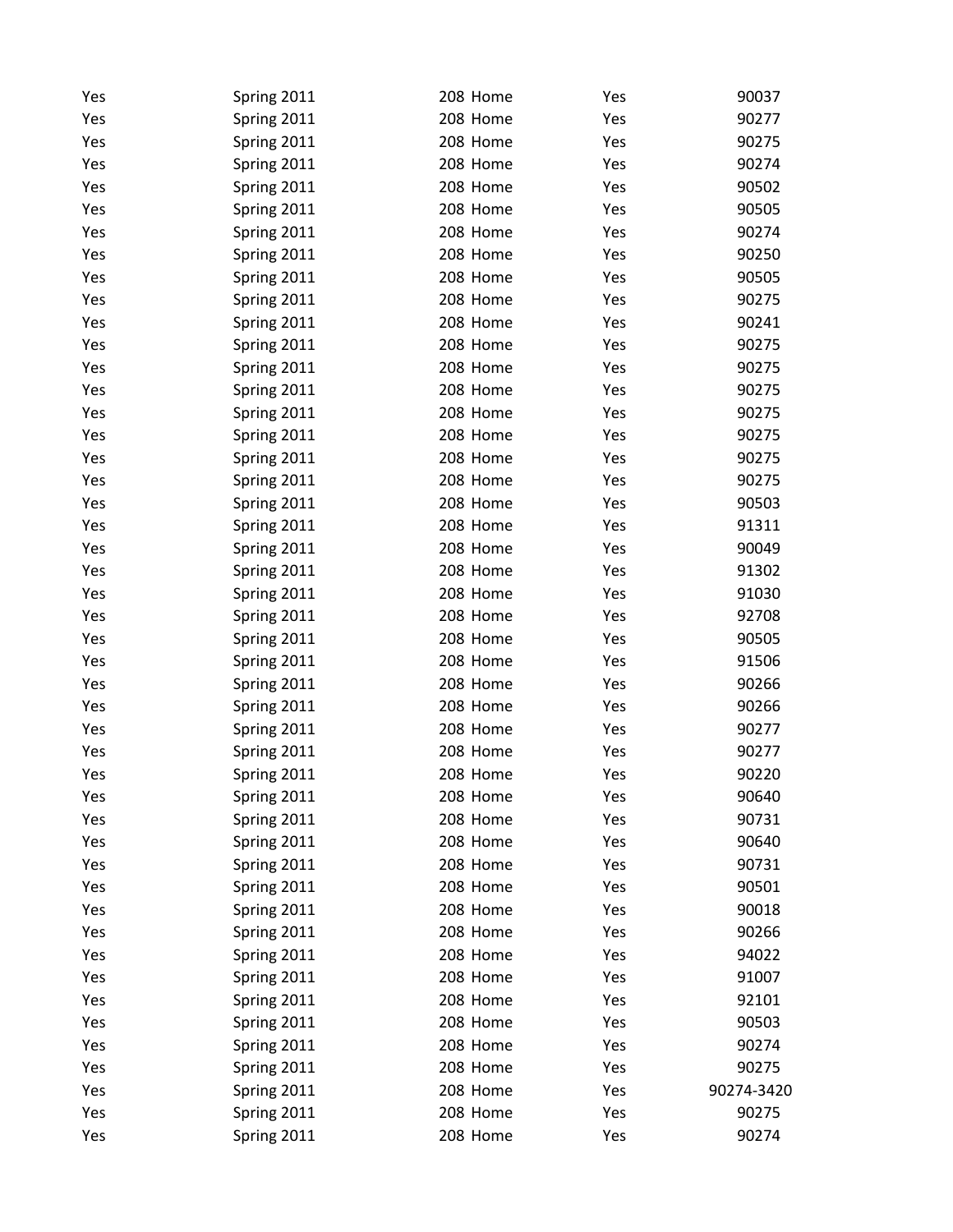| Yes | Spring 2011 | 208 Home | Yes | 90037      |
|-----|-------------|----------|-----|------------|
| Yes | Spring 2011 | 208 Home | Yes | 90277      |
| Yes | Spring 2011 | 208 Home | Yes | 90275      |
| Yes | Spring 2011 | 208 Home | Yes | 90274      |
| Yes | Spring 2011 | 208 Home | Yes | 90502      |
| Yes | Spring 2011 | 208 Home | Yes | 90505      |
| Yes | Spring 2011 | 208 Home | Yes | 90274      |
| Yes | Spring 2011 | 208 Home | Yes | 90250      |
| Yes | Spring 2011 | 208 Home | Yes | 90505      |
| Yes | Spring 2011 | 208 Home | Yes | 90275      |
| Yes | Spring 2011 | 208 Home | Yes | 90241      |
| Yes | Spring 2011 | 208 Home | Yes | 90275      |
| Yes | Spring 2011 | 208 Home | Yes | 90275      |
| Yes | Spring 2011 | 208 Home | Yes | 90275      |
| Yes | Spring 2011 | 208 Home | Yes | 90275      |
| Yes | Spring 2011 | 208 Home | Yes | 90275      |
| Yes | Spring 2011 | 208 Home | Yes | 90275      |
| Yes | Spring 2011 | 208 Home | Yes | 90275      |
| Yes | Spring 2011 | 208 Home | Yes | 90503      |
| Yes | Spring 2011 | 208 Home | Yes | 91311      |
| Yes | Spring 2011 | 208 Home | Yes | 90049      |
| Yes | Spring 2011 | 208 Home | Yes | 91302      |
| Yes | Spring 2011 | 208 Home | Yes | 91030      |
| Yes | Spring 2011 | 208 Home | Yes | 92708      |
| Yes | Spring 2011 | 208 Home | Yes | 90505      |
| Yes | Spring 2011 | 208 Home | Yes | 91506      |
| Yes | Spring 2011 | 208 Home | Yes | 90266      |
| Yes | Spring 2011 | 208 Home | Yes | 90266      |
| Yes | Spring 2011 | 208 Home | Yes | 90277      |
| Yes | Spring 2011 | 208 Home | Yes | 90277      |
| Yes | Spring 2011 | 208 Home | Yes | 90220      |
| Yes | Spring 2011 | 208 Home | Yes | 90640      |
| Yes | Spring 2011 | 208 Home | Yes | 90731      |
| Yes | Spring 2011 | 208 Home | Yes | 90640      |
| Yes | Spring 2011 | 208 Home | Yes | 90731      |
| Yes | Spring 2011 | 208 Home | Yes | 90501      |
| Yes | Spring 2011 | 208 Home | Yes | 90018      |
| Yes | Spring 2011 | 208 Home | Yes | 90266      |
| Yes | Spring 2011 | 208 Home | Yes | 94022      |
| Yes | Spring 2011 | 208 Home | Yes | 91007      |
| Yes | Spring 2011 | 208 Home | Yes | 92101      |
| Yes | Spring 2011 | 208 Home | Yes | 90503      |
| Yes | Spring 2011 | 208 Home | Yes | 90274      |
| Yes | Spring 2011 | 208 Home | Yes | 90275      |
| Yes | Spring 2011 | 208 Home | Yes | 90274-3420 |
| Yes | Spring 2011 | 208 Home | Yes | 90275      |
| Yes | Spring 2011 | 208 Home | Yes | 90274      |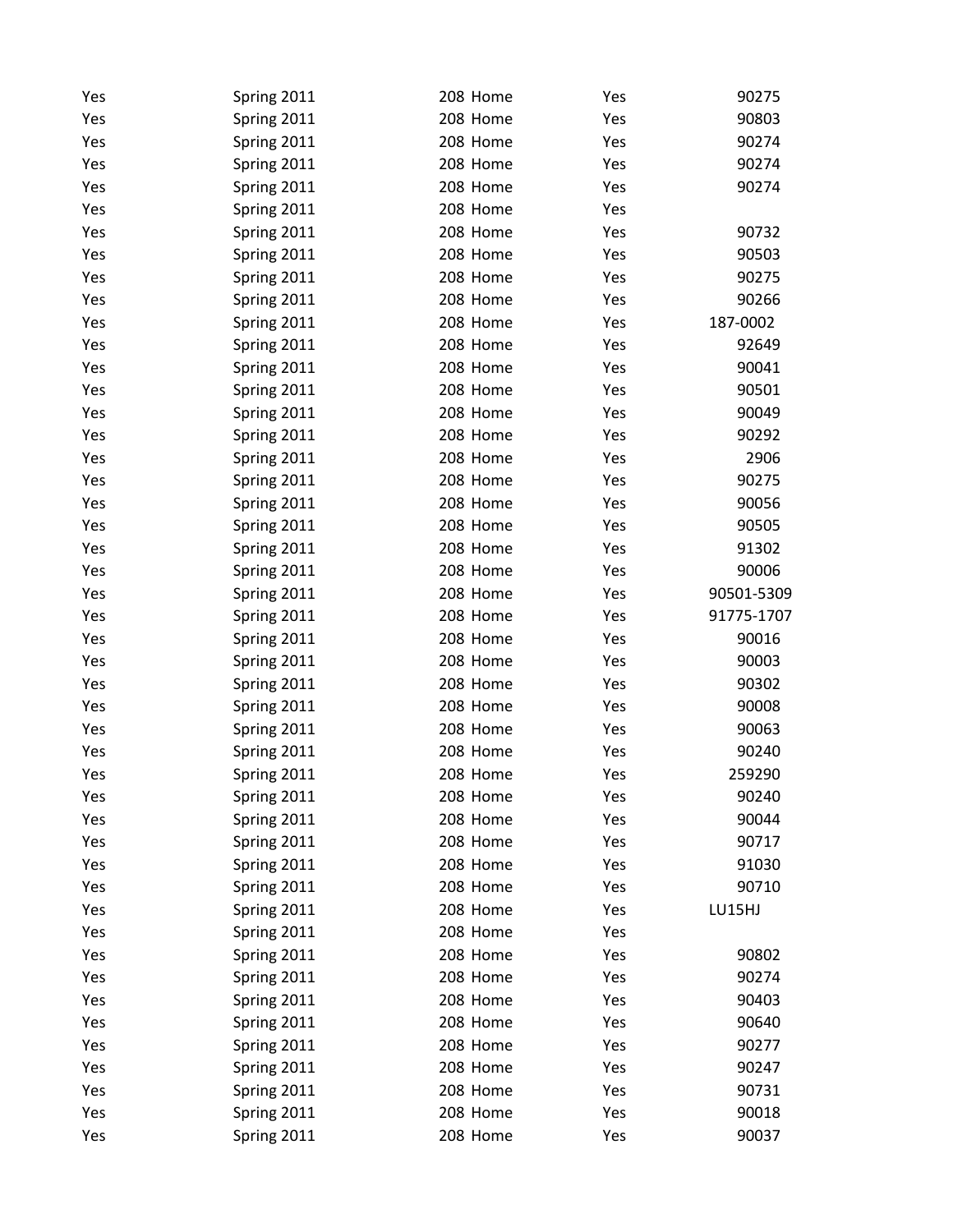| Yes | Spring 2011 | 208 Home | Yes | 90275      |
|-----|-------------|----------|-----|------------|
| Yes | Spring 2011 | 208 Home | Yes | 90803      |
| Yes | Spring 2011 | 208 Home | Yes | 90274      |
| Yes | Spring 2011 | 208 Home | Yes | 90274      |
| Yes | Spring 2011 | 208 Home | Yes | 90274      |
| Yes | Spring 2011 | 208 Home | Yes |            |
| Yes | Spring 2011 | 208 Home | Yes | 90732      |
| Yes | Spring 2011 | 208 Home | Yes | 90503      |
| Yes | Spring 2011 | 208 Home | Yes | 90275      |
| Yes | Spring 2011 | 208 Home | Yes | 90266      |
| Yes | Spring 2011 | 208 Home | Yes | 187-0002   |
| Yes | Spring 2011 | 208 Home | Yes | 92649      |
| Yes | Spring 2011 | 208 Home | Yes | 90041      |
| Yes | Spring 2011 | 208 Home | Yes | 90501      |
| Yes | Spring 2011 | 208 Home | Yes | 90049      |
| Yes | Spring 2011 | 208 Home | Yes | 90292      |
| Yes | Spring 2011 | 208 Home | Yes | 2906       |
| Yes | Spring 2011 | 208 Home | Yes | 90275      |
| Yes | Spring 2011 | 208 Home | Yes | 90056      |
| Yes | Spring 2011 | 208 Home | Yes | 90505      |
| Yes | Spring 2011 | 208 Home | Yes | 91302      |
| Yes | Spring 2011 | 208 Home | Yes | 90006      |
| Yes | Spring 2011 | 208 Home | Yes | 90501-5309 |
| Yes | Spring 2011 | 208 Home | Yes | 91775-1707 |
| Yes | Spring 2011 | 208 Home | Yes | 90016      |
| Yes | Spring 2011 | 208 Home | Yes | 90003      |
| Yes | Spring 2011 | 208 Home | Yes | 90302      |
| Yes | Spring 2011 | 208 Home | Yes | 90008      |
| Yes | Spring 2011 | 208 Home | Yes | 90063      |
| Yes | Spring 2011 | 208 Home | Yes | 90240      |
| Yes | Spring 2011 | 208 Home | Yes | 259290     |
| Yes | Spring 2011 | 208 Home | Yes | 90240      |
| Yes | Spring 2011 | 208 Home | Yes | 90044      |
| Yes | Spring 2011 | 208 Home | Yes | 90717      |
| Yes | Spring 2011 | 208 Home | Yes | 91030      |
| Yes | Spring 2011 | 208 Home | Yes | 90710      |
| Yes | Spring 2011 | 208 Home | Yes | LU15HJ     |
| Yes | Spring 2011 | 208 Home | Yes |            |
| Yes | Spring 2011 | 208 Home | Yes | 90802      |
| Yes | Spring 2011 | 208 Home | Yes | 90274      |
| Yes | Spring 2011 | 208 Home | Yes | 90403      |
| Yes | Spring 2011 | 208 Home | Yes | 90640      |
| Yes | Spring 2011 | 208 Home | Yes | 90277      |
| Yes | Spring 2011 | 208 Home | Yes | 90247      |
| Yes | Spring 2011 | 208 Home | Yes | 90731      |
| Yes | Spring 2011 | 208 Home | Yes | 90018      |
| Yes | Spring 2011 | 208 Home | Yes | 90037      |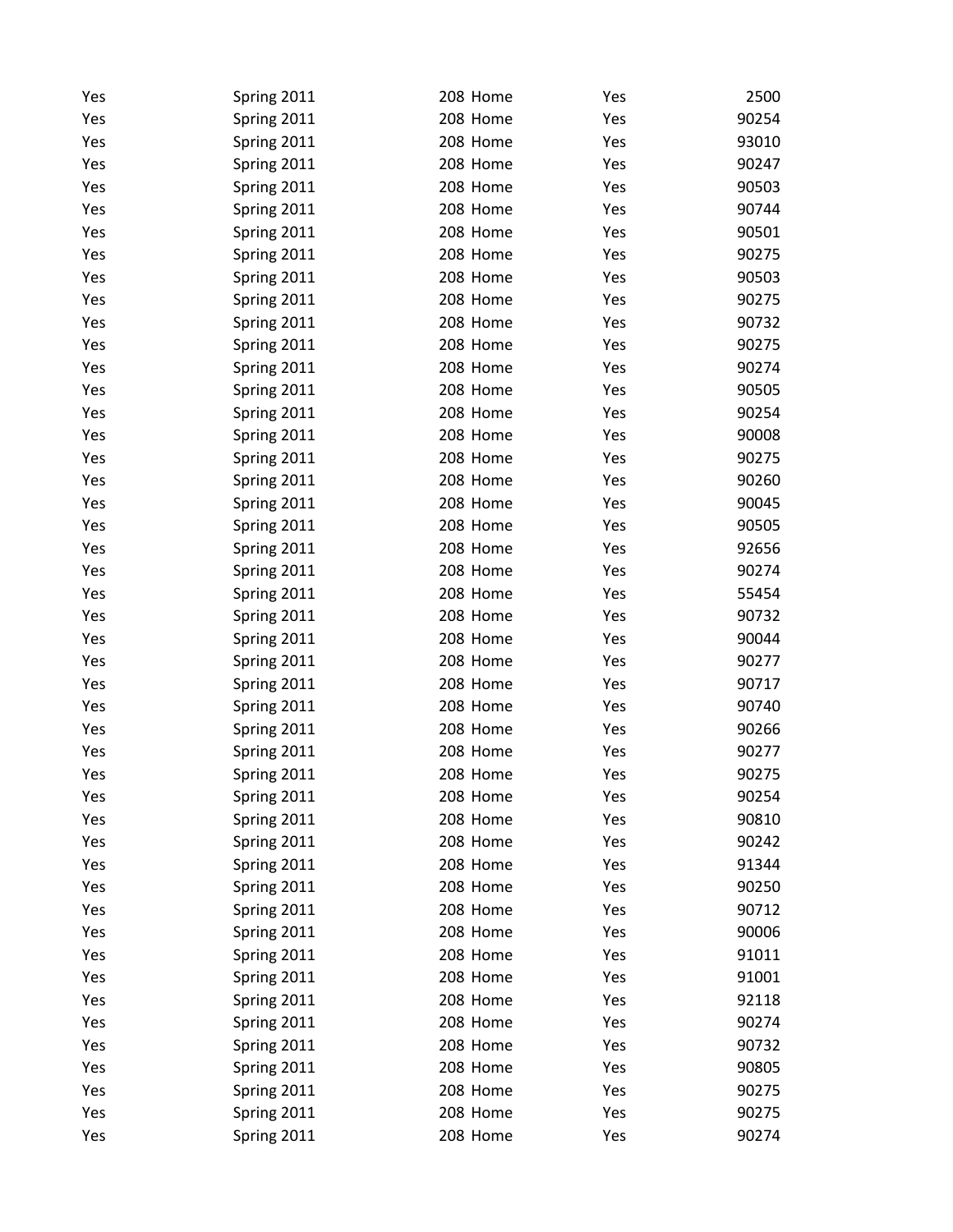| Yes | Spring 2011 | 208 Home | Yes | 2500  |
|-----|-------------|----------|-----|-------|
| Yes | Spring 2011 | 208 Home | Yes | 90254 |
| Yes | Spring 2011 | 208 Home | Yes | 93010 |
| Yes | Spring 2011 | 208 Home | Yes | 90247 |
| Yes | Spring 2011 | 208 Home | Yes | 90503 |
| Yes | Spring 2011 | 208 Home | Yes | 90744 |
| Yes | Spring 2011 | 208 Home | Yes | 90501 |
| Yes | Spring 2011 | 208 Home | Yes | 90275 |
| Yes | Spring 2011 | 208 Home | Yes | 90503 |
| Yes | Spring 2011 | 208 Home | Yes | 90275 |
| Yes | Spring 2011 | 208 Home | Yes | 90732 |
| Yes | Spring 2011 | 208 Home | Yes | 90275 |
| Yes | Spring 2011 | 208 Home | Yes | 90274 |
| Yes | Spring 2011 | 208 Home | Yes | 90505 |
| Yes | Spring 2011 | 208 Home | Yes | 90254 |
| Yes | Spring 2011 | 208 Home | Yes | 90008 |
| Yes | Spring 2011 | 208 Home | Yes | 90275 |
| Yes | Spring 2011 | 208 Home | Yes | 90260 |
| Yes | Spring 2011 | 208 Home | Yes | 90045 |
| Yes | Spring 2011 | 208 Home | Yes | 90505 |
| Yes | Spring 2011 | 208 Home | Yes | 92656 |
| Yes | Spring 2011 | 208 Home | Yes | 90274 |
| Yes | Spring 2011 | 208 Home | Yes | 55454 |
| Yes | Spring 2011 | 208 Home | Yes | 90732 |
| Yes | Spring 2011 | 208 Home | Yes | 90044 |
| Yes | Spring 2011 | 208 Home | Yes | 90277 |
| Yes | Spring 2011 | 208 Home | Yes | 90717 |
| Yes | Spring 2011 | 208 Home | Yes | 90740 |
| Yes | Spring 2011 | 208 Home | Yes | 90266 |
| Yes | Spring 2011 | 208 Home | Yes | 90277 |
| Yes | Spring 2011 | 208 Home | Yes | 90275 |
| Yes | Spring 2011 | 208 Home | Yes | 90254 |
| Yes | Spring 2011 | 208 Home | Yes | 90810 |
| Yes | Spring 2011 | 208 Home | Yes | 90242 |
| Yes | Spring 2011 | 208 Home | Yes | 91344 |
| Yes | Spring 2011 | 208 Home | Yes | 90250 |
| Yes | Spring 2011 | 208 Home | Yes | 90712 |
| Yes | Spring 2011 | 208 Home | Yes | 90006 |
| Yes | Spring 2011 | 208 Home | Yes | 91011 |
| Yes | Spring 2011 | 208 Home | Yes | 91001 |
| Yes | Spring 2011 | 208 Home | Yes | 92118 |
| Yes | Spring 2011 | 208 Home | Yes | 90274 |
| Yes | Spring 2011 | 208 Home | Yes | 90732 |
| Yes | Spring 2011 | 208 Home | Yes | 90805 |
| Yes | Spring 2011 | 208 Home | Yes | 90275 |
| Yes | Spring 2011 | 208 Home | Yes | 90275 |
| Yes | Spring 2011 | 208 Home | Yes | 90274 |